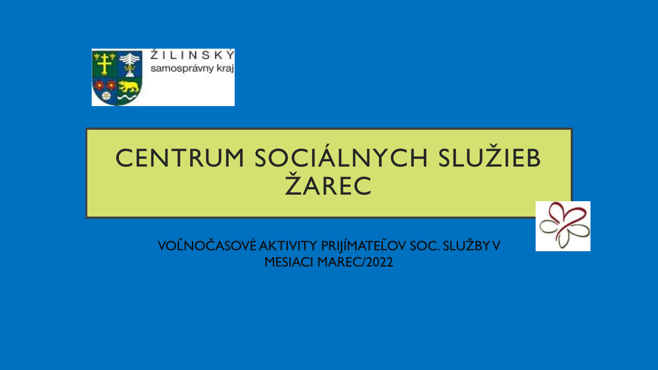

## CENTRUM SOCIÁLNYCH SLUŽIEB ŽAREC

VOĽNOČASOVÉ AKTIVITY PRIJÍMATEĽOV SOC. SLUŽBY V MESIACI MAREC/2022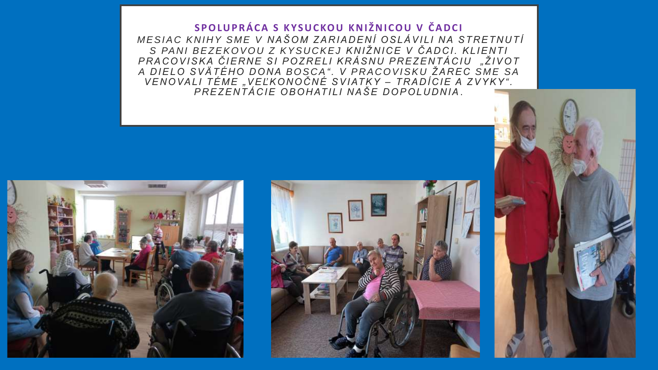SPOLUPRÁCA S KYSUCKOU KNIŽNICOU V ČADCI *ME S I A C K N I H Y S ME V N A Š O M Z A R I A D E N Í O S L Á V I LI N A S T R E T N U T Í S PA N I B E Z E K O V O U Z K Y S U C K E J K N I Ž N I C E V Č A D C I . K L I E N T I P R A C O V I S K A Č I E R N E S I P O Z R E L I K R Á S N U P R E Z E N T Á C I U "Ž I V O T A D I E L O S V Ä T É H O D O N A B O S C A" . V P R A C O V I S K U Ž A R E C S ME S A V E N O VA L I T É ME "V E Ľ K O N O Č N É S V I AT K Y – T R A D Í C I E A Z V Y K Y " . P R E Z E N T Á C I E O B O H AT I LI N A Š E D O P O L U D N I A* .





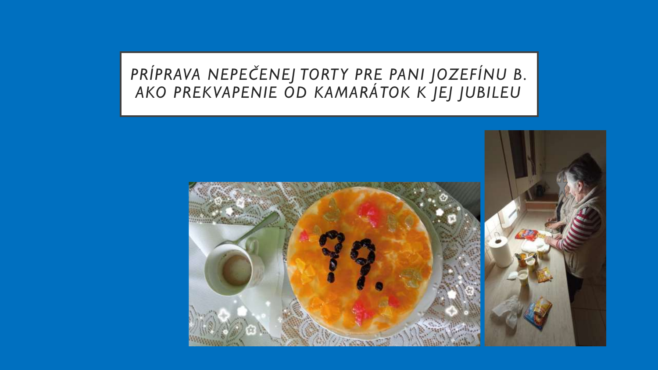## *PRÍPRAVA NEPEČENEJ TORTY PRE PANI JOZEFÍNU B. AKO PREKVAPENIE OD KAMARÁTOK K JEJ JUBILEU*

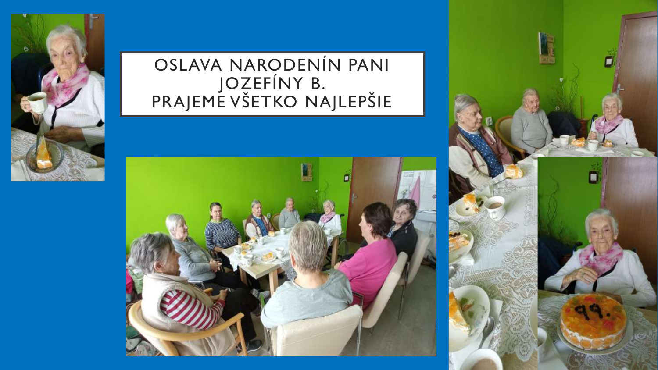

## OSLAVA NARODENÍN PANI JOZEFÍNY B. PRAJEME VŠETKO NAJLEPŠIE



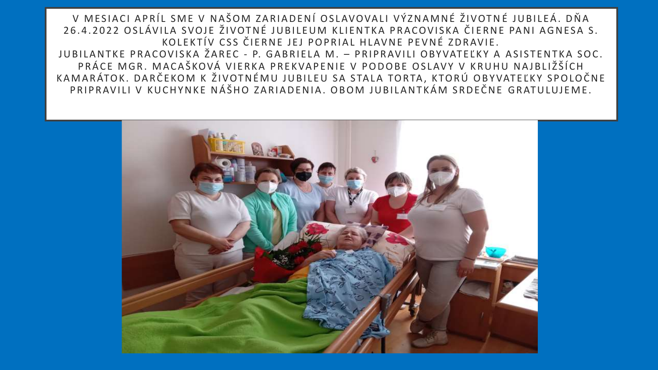V MESIACI APRÍL SME V NAŠOM ZARIADENÍ OSLAVOVALI VÝZNAMNÉ ŽIVOTNÉ JUBILEÁ. DŇA 26.4.2022 OSLÁVILA SVOJE ŽIVOTNÉ JUBILEUM KLIENTKA PRACOVISKA ČIERNE PANI AGNESA S. KOLEKTÍV CSS ČIERNE JEJ POPRIAL HLAVNE PEVNÉ ZDRAVIE. JUBILANTKE PRACOVISKA ŽAREC - P. GABRIELA M. – PRIPRAVILI OBYVATEĽKY A ASISTENTKA SOC. PRÁCE MGR. MACAŠKOVÁ VIERKA PREKVAPENIE V PODOBE OSLAVY V KRUHU NAJBLIŽŠÍCH KAMARÁTOK. DARČEKOM K ŽIVOTNÉMU JUBILEU SA STALA TORTA, KTORÚ OBYVATEĽKY SPOLOČNE PRIPRAVILI V KUCHYNKE NÁŠHO ZARIADENIA. OBOM JUBILANTKÁM SRDEČNE GRATULUJEME.

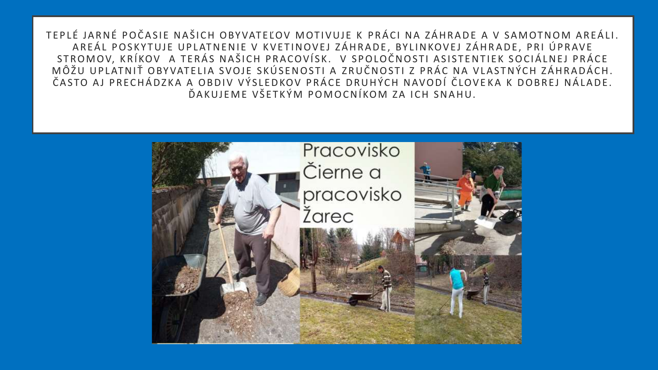TEPLÉ JARNÉ POČASIE NAŠICH OBYVATEĽOV MOTIVUJE K PRÁCI NA ZÁHRADE A V SAMOTNOM AREÁLI. AREÁL POSKYTUJE UPLATNENIE V KVETINOVEJ ZÁHRADE, BYLINKOVEJ ZÁHRADE, PRI ÚPRAVE STROMOV, KRÍKOV A TERÁS NAŠICH PRACOVÍSK. V SPOLOČNOSTI ASISTENTIEK SOCIÁLNEJ PRÁCE MÔŽU UPLATNIŤ OBYVATELIA SVOJE SKÚSENOSTI A ZRUČNOSTI Z PRÁC NA VLASTNÝCH ZÁHRADÁCH. ČASTO AJ PRECHÁDZKA A OBDIV VÝSLEDKOV PRÁCE DRUHÝCH NAVODÍ ČLOVEKA K DOBREJ NÁLADE. ĎAKUJEME VŠETKÝM POMOCNÍKOM ZA ICH SNAHU.